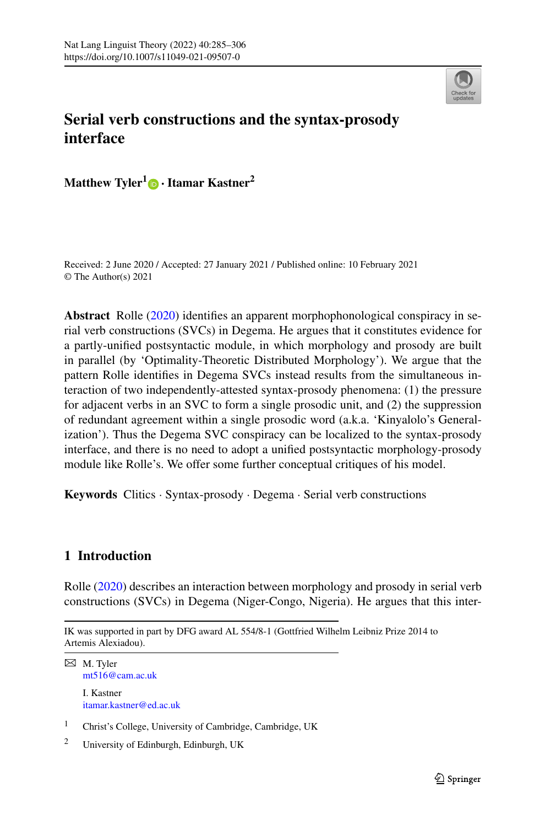

# **Serial verb constructions and the syntax-prosody interface**

**Matthew Tyler1 ·Itamar Kastner<sup>2</sup>**

Received: 2 June 2020 / Accepted: 27 January 2021 / Published online: 10 February 2021 © The Author(s) 2021

**Abstract** Rolle [\(2020](#page-20-0)) identifies an apparent morphophonological conspiracy in serial verb constructions (SVCs) in Degema. He argues that it constitutes evidence for a partly-unified postsyntactic module, in which morphology and prosody are built in parallel (by 'Optimality-Theoretic Distributed Morphology'). We argue that the pattern Rolle identifies in Degema SVCs instead results from the simultaneous interaction of two independently-attested syntax-prosody phenomena: (1) the pressure for adjacent verbs in an SVC to form a single prosodic unit, and (2) the suppression of redundant agreement within a single prosodic word (a.k.a. 'Kinyalolo's Generalization'). Thus the Degema SVC conspiracy can be localized to the syntax-prosody interface, and there is no need to adopt a unified postsyntactic morphology-prosody module like Rolle's. We offer some further conceptual critiques of his model.

**Keywords** Clitics · Syntax-prosody · Degema · Serial verb constructions

## **1 Introduction**

Rolle ([2020\)](#page-20-0) describes an interaction between morphology and prosody in serial verb constructions (SVCs) in Degema (Niger-Congo, Nigeria). He argues that this inter-

```
\boxtimes M. Tyler
mt516@cam.ac.uk
I. Kastner
itamar.kastner@ed.ac.uk
```
<sup>2</sup> University of Edinburgh, Edinburgh, UK

IK was supported in part by DFG award AL 554/8-1 (Gottfried Wilhelm Leibniz Prize 2014 to Artemis Alexiadou).

<sup>1</sup> Christ's College, University of Cambridge, Cambridge, UK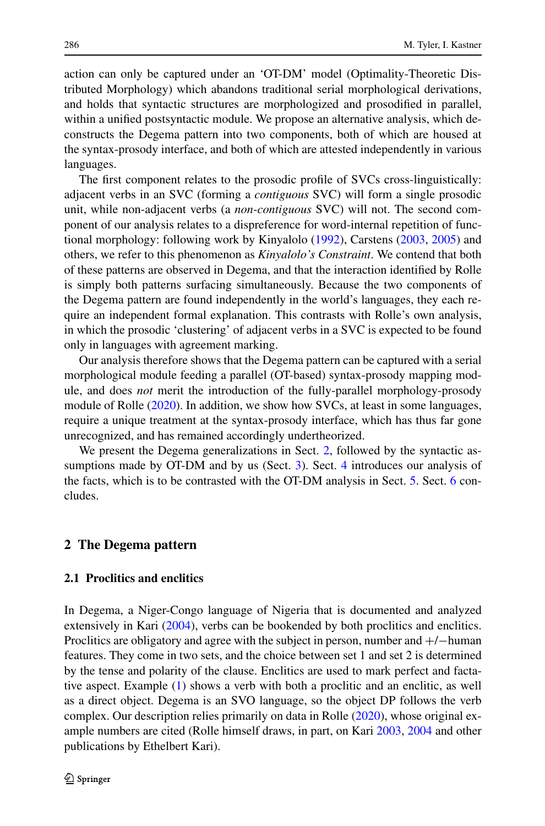action can only be captured under an 'OT-DM' model (Optimality-Theoretic Distributed Morphology) which abandons traditional serial morphological derivations, and holds that syntactic structures are morphologized and prosodified in parallel, within a unified postsyntactic module. We propose an alternative analysis, which deconstructs the Degema pattern into two components, both of which are housed at the syntax-prosody interface, and both of which are attested independently in various languages.

The first component relates to the prosodic profile of SVCs cross-linguistically: adjacent verbs in an SVC (forming a *contiguous* SVC) will form a single prosodic unit, while non-adjacent verbs (a *non-contiguous* SVC) will not. The second component of our analysis relates to a dispreference for word-internal repetition of functional morphology: following work by Kinyalolo [\(1992](#page-20-1)), Carstens [\(2003,](#page-19-0) [2005](#page-19-1)) and others, we refer to this phenomenon as *Kinyalolo's Constraint*. We contend that both of these patterns are observed in Degema, and that the interaction identified by Rolle is simply both patterns surfacing simultaneously. Because the two components of the Degema pattern are found independently in the world's languages, they each require an independent formal explanation. This contrasts with Rolle's own analysis, in which the prosodic 'clustering' of adjacent verbs in a SVC is expected to be found only in languages with agreement marking.

Our analysis therefore shows that the Degema pattern can be captured with a serial morphological module feeding a parallel (OT-based) syntax-prosody mapping module, and does *not* merit the introduction of the fully-parallel morphology-prosody module of Rolle ([2020\)](#page-20-0). In addition, we show how SVCs, at least in some languages, require a unique treatment at the syntax-prosody interface, which has thus far gone unrecognized, and has remained accordingly undertheorized.

<span id="page-1-0"></span>We present the Degema generalizations in Sect. [2,](#page-1-0) followed by the syntactic assumptions made by OT-DM and by us (Sect. [3](#page-3-0)). Sect. [4](#page-6-0) introduces our analysis of the facts, which is to be contrasted with the OT-DM analysis in Sect. [5.](#page-14-0) Sect. [6](#page-17-0) concludes.

#### **2 The Degema pattern**

## **2.1 Proclitics and enclitics**

In Degema, a Niger-Congo language of Nigeria that is documented and analyzed extensively in Kari ([2004\)](#page-20-2), verbs can be bookended by both proclitics and enclitics. Proclitics are obligatory and agree with the subject in person, number and +/−human features. They come in two sets, and the choice between set 1 and set 2 is determined by the tense and polarity of the clause. Enclitics are used to mark perfect and factative aspect. Example ([1\)](#page-2-0) shows a verb with both a proclitic and an enclitic, as well as a direct object. Degema is an SVO language, so the object DP follows the verb complex. Our description relies primarily on data in Rolle ([2020\)](#page-20-0), whose original example numbers are cited (Rolle himself draws, in part, on Kari [2003,](#page-20-3) [2004](#page-20-2) and other publications by Ethelbert Kari).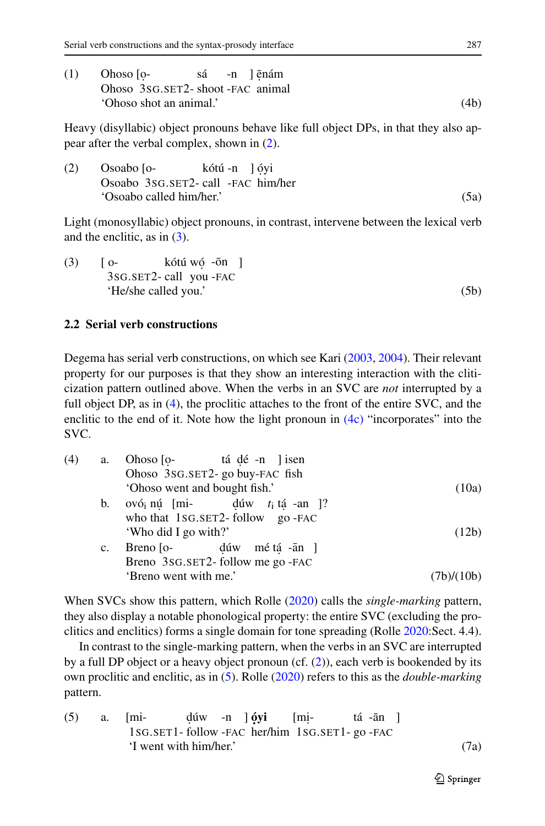<span id="page-2-1"></span><span id="page-2-0"></span>

| (1) | Ohoso <sub>I</sub> o-           |  | sá -n lēnám |      |
|-----|---------------------------------|--|-------------|------|
|     | Ohoso 3sG.SET2-shoot-FAC animal |  |             |      |
|     | 'Ohoso shot an animal.'         |  |             | (4b) |

<span id="page-2-2"></span>Heavy (disyllabic) object pronouns behave like full object DPs, in that they also appear after the verbal complex, shown in [\(2](#page-2-1)).

(2) Osoabo [o-Osoabo 3SG.SET2- call -FAC him/her kótú -n ] óyi 'Osoabo called him/her.' (5a)

<span id="page-2-6"></span>Light (monosyllabic) object pronouns, in contrast, intervene between the lexical verb and the enclitic, as in [\(3\)](#page-2-2).

 $(3)$   $[0 -$ 3SG.SET2- call you -FAC kótú wó -ōn ] 'He/she called you.' (5b)

### <span id="page-2-3"></span>**2.2 Serial verb constructions**

Degema has serial verb constructions, on which see Kari ([2003,](#page-20-3) [2004](#page-20-2)). Their relevant property for our purposes is that they show an interesting interaction with the cliticization pattern outlined above. When the verbs in an SVC are *not* interrupted by a full object DP, as in ([4\)](#page-2-3), the proclitic attaches to the front of the entire SVC, and the enclitic to the end of it. Note how the light pronoun in  $(4c)$  "incorporates" into the SVC.

<span id="page-2-4"></span>

| (4) | a.          | Ohoso [o- tá dé -n ] isen                    |            |
|-----|-------------|----------------------------------------------|------------|
|     |             | Ohoso 3sG.SET2- go buy-FAC fish              |            |
|     |             | 'Ohoso went and bought fish.'                | (10a)      |
|     | b.          | ovó <sub>i</sub> nú [mi- dúw $t_i$ tá -an ]? |            |
|     |             | who that 1SG.SET2-follow go-FAC              |            |
|     |             | 'Who did I go with?'                         | (12b)      |
|     | $c_{\cdot}$ | Breno [o- dúw mé tá -ān ]                    |            |
|     |             | Breno 3sG.SET2-follow me go-FAC              |            |
|     |             | 'Breno went with me.'                        | (7b)/(10b) |

<span id="page-2-5"></span>When SVCs show this pattern, which Rolle [\(2020](#page-20-0)) calls the *single-marking* pattern, they also display a notable phonological property: the entire SVC (excluding the proclitics and enclitics) forms a single domain for tone spreading (Rolle [2020:](#page-20-0)Sect. 4.4).

In contrast to the single-marking pattern, when the verbs in an SVC are interrupted by a full DP object or a heavy object pronoun (cf. [\(2](#page-2-1))), each verb is bookended by its own proclitic and enclitic, as in ([5\)](#page-2-5). Rolle [\(2020](#page-20-0)) refers to this as the *double-marking* pattern.

(5) a. 
$$
[mi d(uw - n)
$$
  $j \, \text{oyi}$   $[mi t \, \text{á -ān}$   $]$   $1 \, \text{SG.SET1- follow -} FAC$   $1 \, \text{S}G. SET1- \text{gO -}FAC$   $T \, \text{went with him/her.}$  (7a)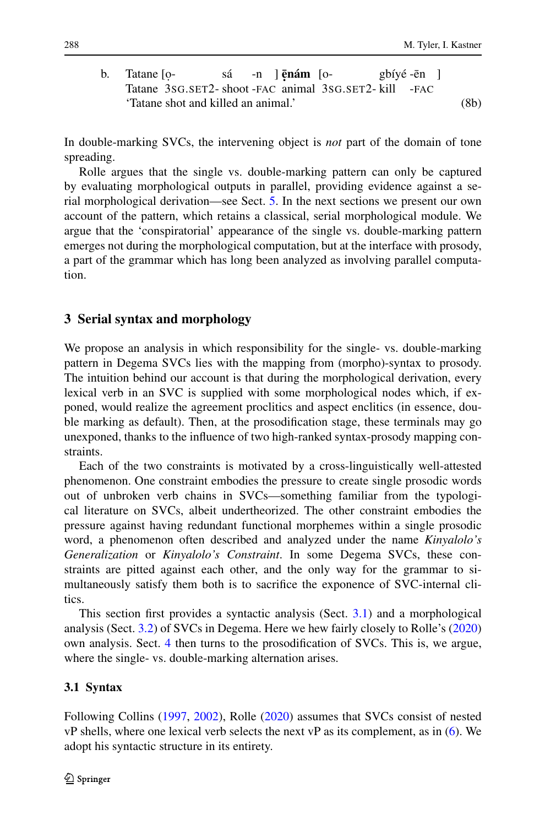b. Tatane [o-Tatane 3SG.SET2- shoot -FAC animal 3SG.SET2- kill sá  $-n$ **<u><b>enám** [o-</u> gbíyé -ēn ] -FAC 'Tatane shot and killed an animal.' (8b)

In double-marking SVCs, the intervening object is *not* part of the domain of tone spreading.

<span id="page-3-0"></span>Rolle argues that the single vs. double-marking pattern can only be captured by evaluating morphological outputs in parallel, providing evidence against a serial morphological derivation—see Sect. [5](#page-14-0). In the next sections we present our own account of the pattern, which retains a classical, serial morphological module. We argue that the 'conspiratorial' appearance of the single vs. double-marking pattern emerges not during the morphological computation, but at the interface with prosody, a part of the grammar which has long been analyzed as involving parallel computation.

## **3 Serial syntax and morphology**

We propose an analysis in which responsibility for the single- vs. double-marking pattern in Degema SVCs lies with the mapping from (morpho)-syntax to prosody. The intuition behind our account is that during the morphological derivation, every lexical verb in an SVC is supplied with some morphological nodes which, if exponed, would realize the agreement proclitics and aspect enclitics (in essence, double marking as default). Then, at the prosodification stage, these terminals may go unexponed, thanks to the influence of two high-ranked syntax-prosody mapping constraints.

Each of the two constraints is motivated by a cross-linguistically well-attested phenomenon. One constraint embodies the pressure to create single prosodic words out of unbroken verb chains in SVCs—something familiar from the typological literature on SVCs, albeit undertheorized. The other constraint embodies the pressure against having redundant functional morphemes within a single prosodic word, a phenomenon often described and analyzed under the name *Kinyalolo's Generalization* or *Kinyalolo's Constraint*. In some Degema SVCs, these constraints are pitted against each other, and the only way for the grammar to simultaneously satisfy them both is to sacrifice the exponence of SVC-internal clitics.

<span id="page-3-1"></span>This section first provides a syntactic analysis (Sect. [3.1\)](#page-3-1) and a morphological analysis (Sect. [3.2\)](#page-4-0) of SVCs in Degema. Here we hew fairly closely to Rolle's [\(2020](#page-20-0)) own analysis. Sect. [4](#page-6-0) then turns to the prosodification of SVCs. This is, we argue, where the single- vs. double-marking alternation arises.

#### **3.1 Syntax**

Following Collins ([1997,](#page-19-2) [2002](#page-19-3)), Rolle [\(2020](#page-20-0)) assumes that SVCs consist of nested vP shells, where one lexical verb selects the next vP as its complement, as in [\(6](#page-4-1)). We adopt his syntactic structure in its entirety.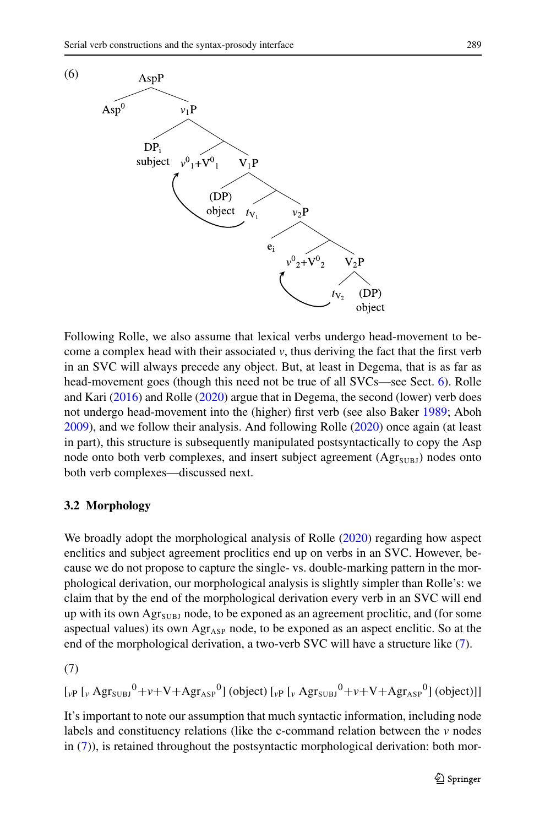

<span id="page-4-1"></span><span id="page-4-0"></span>Following Rolle, we also assume that lexical verbs undergo head-movement to become a complex head with their associated  $\nu$ , thus deriving the fact that the first verb in an SVC will always precede any object. But, at least in Degema, that is as far as head-movement goes (though this need not be true of all SVCs—see Sect. [6](#page-17-0)). Rolle and Kari ([2016\)](#page-20-4) and Rolle ([2020\)](#page-20-0) argue that in Degema, the second (lower) verb does not undergo head-movement into the (higher) first verb (see also Baker [1989;](#page-19-4) Aboh [2009\)](#page-19-5), and we follow their analysis. And following Rolle ([2020\)](#page-20-0) once again (at least in part), this structure is subsequently manipulated postsyntactically to copy the Asp node onto both verb complexes, and insert subject agreement  $(Agr_{SUBJ})$  nodes onto both verb complexes—discussed next.

### **3.2 Morphology**

<span id="page-4-2"></span>We broadly adopt the morphological analysis of Rolle ([2020\)](#page-20-0) regarding how aspect enclitics and subject agreement proclitics end up on verbs in an SVC. However, because we do not propose to capture the single- vs. double-marking pattern in the morphological derivation, our morphological analysis is slightly simpler than Rolle's: we claim that by the end of the morphological derivation every verb in an SVC will end up with its own  $\text{Agr}_{\text{SUBJ}}$  node, to be exponed as an agreement proclitic, and (for some aspectual values) its own  $\text{Agr}_{\text{ASP}}$  node, to be exponed as an aspect enclitic. So at the end of the morphological derivation, a two-verb SVC will have a structure like [\(7](#page-4-2)).

(7)

$$
\left[\left[\int_{V} P \left[\int_{V} Agr_{SUB}^{0} + \nu + V + Agr_{ASP}^{0}\right] \left( object\right) \left[\int_{V} P \left[\int_{V} Agr_{SUB}^{0} + \nu + V + Agr_{ASP}^{0}\right] \left( object\right)\right]\right]\right]
$$

It's important to note our assumption that much syntactic information, including node labels and constituency relations (like the c-command relation between the *v* nodes in ([7\)](#page-4-2)), is retained throughout the postsyntactic morphological derivation: both mor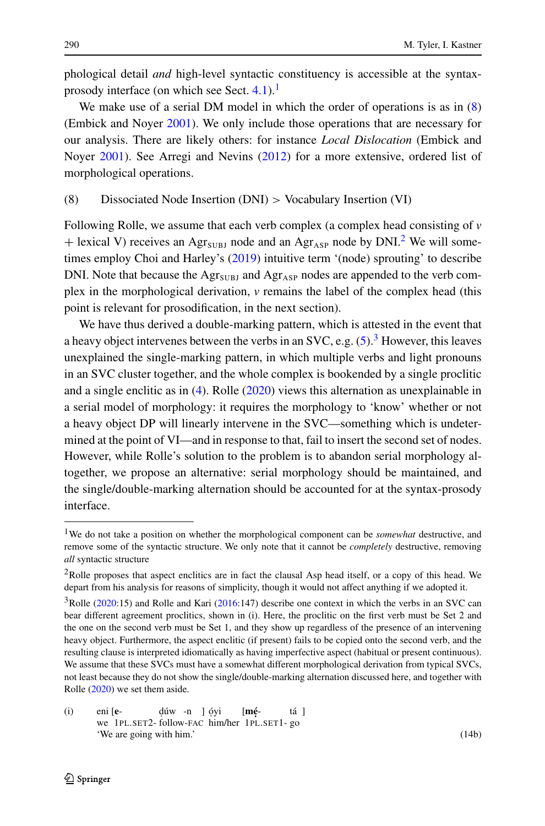<span id="page-5-1"></span>phological detail *and* high-level syntactic constituency is accessible at the syntaxprosody interface (on which see Sect.  $4.1$ ).<sup>[1](#page-5-0)</sup>

We make use of a serial DM model in which the order of operations is as in  $(8)$  $(8)$ (Embick and Noyer [2001\)](#page-20-5). We only include those operations that are necessary for our analysis. There are likely others: for instance *Local Dislocation* (Embick and Noyer [2001](#page-20-5)). See Arregi and Nevins [\(2012](#page-19-6)) for a more extensive, ordered list of morphological operations.

## (8) Dissociated Node Insertion (DNI) *>* Vocabulary Insertion (VI)

Following Rolle, we assume that each verb complex (a complex head consisting of *v* + lexical V) receives an Agr<sub>SUBJ</sub> node and an Agr<sub>ASP</sub> node by DNI.<sup>2</sup> We will sometimes employ Choi and Harley's [\(2019](#page-19-7)) intuitive term '(node) sprouting' to describe DNI. Note that because the  $\text{Agr}_{\text{SUBJ}}$  and  $\text{Agr}_{\text{ASP}}$  nodes are appended to the verb complex in the morphological derivation, *v* remains the label of the complex head (this point is relevant for prosodification, in the next section).

<span id="page-5-0"></span>We have thus derived a double-marking pattern, which is attested in the event that a heavy object intervenes between the verbs in an SVC, e.g.  $(5)$  $(5)$ .<sup>3</sup> However, this leaves unexplained the single-marking pattern, in which multiple verbs and light pronouns in an SVC cluster together, and the whole complex is bookended by a single proclitic and a single enclitic as in ([4\)](#page-2-3). Rolle ([2020\)](#page-20-0) views this alternation as unexplainable in a serial model of morphology: it requires the morphology to 'know' whether or not a heavy object DP will linearly intervene in the SVC—something which is undetermined at the point of VI—and in response to that, fail to insert the second set of nodes. However, while Rolle's solution to the problem is to abandon serial morphology altogether, we propose an alternative: serial morphology should be maintained, and the single/double-marking alternation should be accounted for at the syntax-prosody interface.

<span id="page-5-3"></span><span id="page-5-2"></span><sup>1</sup>We do not take a position on whether the morphological component can be *somewhat* destructive, and remove some of the syntactic structure. We only note that it cannot be *completely* destructive, removing *all* syntactic structure

<sup>&</sup>lt;sup>2</sup>Rolle proposes that aspect enclitics are in fact the clausal Asp head itself, or a copy of this head. We depart from his analysis for reasons of simplicity, though it would not affect anything if we adopted it.

<sup>3</sup>Rolle ([2020:](#page-20-0)15) and Rolle and Kari ([2016:](#page-20-4)147) describe one context in which the verbs in an SVC can bear different agreement proclitics, shown in (i). Here, the proclitic on the first verb must be Set 2 and the one on the second verb must be Set 1, and they show up regardless of the presence of an intervening heavy object. Furthermore, the aspect enclitic (if present) fails to be copied onto the second verb, and the resulting clause is interpreted idiomatically as having imperfective aspect (habitual or present continuous). We assume that these SVCs must have a somewhat different morphological derivation from typical SVCs, not least because they do not show the single/double-marking alternation discussed here, and together with Rolle ([2020\)](#page-20-0) we set them aside.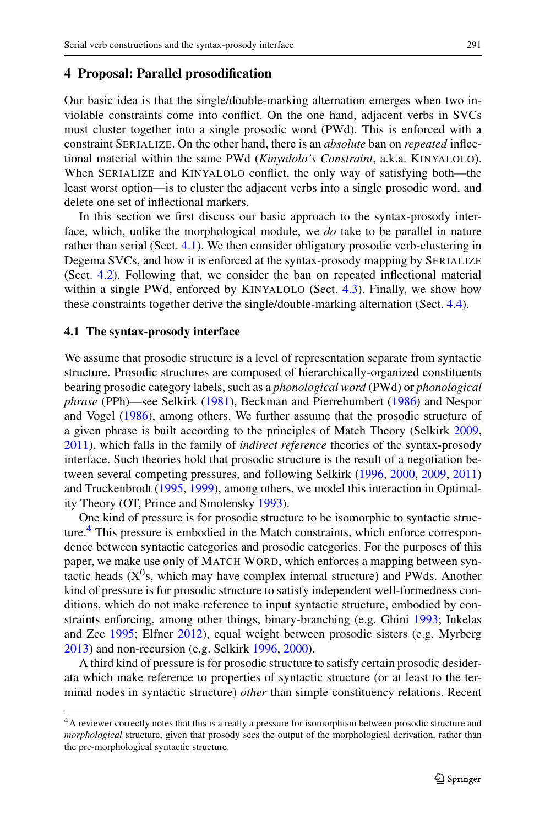### <span id="page-6-0"></span>**4 Proposal: Parallel prosodification**

Our basic idea is that the single/double-marking alternation emerges when two inviolable constraints come into conflict. On the one hand, adjacent verbs in SVCs must cluster together into a single prosodic word (PWd). This is enforced with a constraint SERIALIZE. On the other hand, there is an *absolute* ban on *repeated* inflectional material within the same PWd (*Kinyalolo's Constraint*, a.k.a. KINYALOLO). When SERIALIZE and KINYALOLO conflict, the only way of satisfying both—the least worst option—is to cluster the adjacent verbs into a single prosodic word, and delete one set of inflectional markers.

<span id="page-6-1"></span>In this section we first discuss our basic approach to the syntax-prosody interface, which, unlike the morphological module, we *do* take to be parallel in nature rather than serial (Sect. [4.1\)](#page-6-1). We then consider obligatory prosodic verb-clustering in Degema SVCs, and how it is enforced at the syntax-prosody mapping by SERIALIZE (Sect. [4.2](#page-7-0)). Following that, we consider the ban on repeated inflectional material within a single PWd, enforced by KINYALOLO (Sect. [4.3\)](#page-9-0). Finally, we show how these constraints together derive the single/double-marking alternation (Sect. [4.4\)](#page-11-0).

#### **4.1 The syntax-prosody interface**

We assume that prosodic structure is a level of representation separate from syntactic structure. Prosodic structures are composed of hierarchically-organized constituents bearing prosodic category labels, such as a *phonological word* (PWd) or *phonological phrase* (PPh)—see Selkirk ([1981](#page-20-6)), Beckman and Pierrehumbert ([1986\)](#page-19-8) and Nespor and Vogel ([1986\)](#page-20-7), among others. We further assume that the prosodic structure of a given phrase is built according to the principles of Match Theory (Selkirk [2009](#page-21-0), [2011\)](#page-21-1), which falls in the family of *indirect reference* theories of the syntax-prosody interface. Such theories hold that prosodic structure is the result of a negotiation between several competing pressures, and following Selkirk ([1996,](#page-21-2) [2000,](#page-21-3) [2009](#page-21-0), [2011](#page-21-1)) and Truckenbrodt [\(1995,](#page-21-4) [1999\)](#page-21-5), among others, we model this interaction in Optimality Theory (OT, Prince and Smolensky [1993\)](#page-20-8).

One kind of pressure is for prosodic structure to be isomorphic to syntactic struc-ture.<sup>[4](#page-6-2)</sup> This pressure is embodied in the Match constraints, which enforce correspondence between syntactic categories and prosodic categories. For the purposes of this paper, we make use only of MATCH WORD, which enforces a mapping between syntactic heads  $(X^0s)$ , which may have complex internal structure) and PWds. Another kind of pressure is for prosodic structure to satisfy independent well-formedness conditions, which do not make reference to input syntactic structure, embodied by constraints enforcing, among other things, binary-branching (e.g. Ghini [1993;](#page-20-9) Inkelas and Zec [1995](#page-20-10); Elfner [2012](#page-20-11)), equal weight between prosodic sisters (e.g. Myrberg [2013\)](#page-20-12) and non-recursion (e.g. Selkirk [1996,](#page-21-2) [2000\)](#page-21-3).

<span id="page-6-2"></span>A third kind of pressure is for prosodic structure to satisfy certain prosodic desiderata which make reference to properties of syntactic structure (or at least to the terminal nodes in syntactic structure) *other* than simple constituency relations. Recent

<sup>&</sup>lt;sup>4</sup>A reviewer correctly notes that this is a really a pressure for isomorphism between prosodic structure and *morphological* structure, given that prosody sees the output of the morphological derivation, rather than the pre-morphological syntactic structure.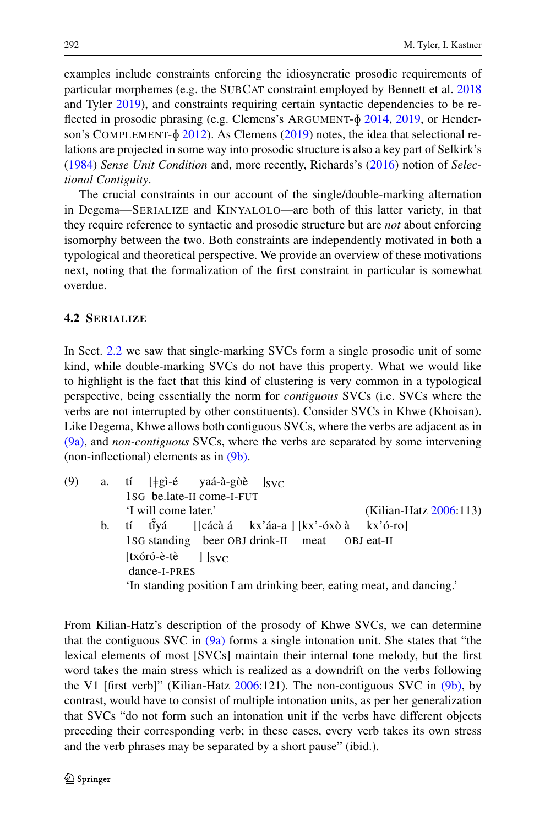examples include constraints enforcing the idiosyncratic prosodic requirements of particular morphemes (e.g. the SUBCAT constraint employed by Bennett et al. [2018](#page-19-9) and Tyler [2019\)](#page-21-6), and constraints requiring certain syntactic dependencies to be reflected in prosodic phrasing (e.g. Clemens's ARGUMENT- $\delta$  [2014,](#page-19-10) [2019](#page-19-11), or Henderson's COMPLEMENT- $\delta$  [2012\)](#page-20-13). As Clemens [\(2019](#page-19-11)) notes, the idea that selectional relations are projected in some way into prosodic structure is also a key part of Selkirk's [\(1984](#page-21-7)) *Sense Unit Condition* and, more recently, Richards's [\(2016](#page-20-14)) notion of *Selectional Contiguity*.

<span id="page-7-0"></span>The crucial constraints in our account of the single/double-marking alternation in Degema—SERIALIZE and KINYALOLO—are both of this latter variety, in that they require reference to syntactic and prosodic structure but are *not* about enforcing isomorphy between the two. Both constraints are independently motivated in both a typological and theoretical perspective. We provide an overview of these motivations next, noting that the formalization of the first constraint in particular is somewhat overdue.

### **4.2 SERIALIZE**

<span id="page-7-1"></span>In Sect. [2.2](#page-2-6) we saw that single-marking SVCs form a single prosodic unit of some kind, while double-marking SVCs do not have this property. What we would like to highlight is the fact that this kind of clustering is very common in a typological perspective, being essentially the norm for *contiguous* SVCs (i.e. SVCs where the verbs are not interrupted by other constituents). Consider SVCs in Khwe (Khoisan). Like Degema, Khwe allows both contiguous SVCs, where the verbs are adjacent as in [\(9a\),](#page-7-1) and *non-contiguous* SVCs, where the verbs are separated by some intervening (non-inflectional) elements as in [\(9b\).](#page-7-2)

<span id="page-7-2"></span>

| (9) | a. tí [‡gì-é yaá-à-gòè ] <sub>SVC</sub>                              |
|-----|----------------------------------------------------------------------|
|     | 1sG be.late-II come-I-FUT                                            |
|     | 'I will come later.'<br>(Kilian-Hatz 2006:113)                       |
|     | b. tí tîyá [[cácà á kx'áa-a ][kx'-óxò à kx'ó-ro]                     |
|     | 1sG standing beer OBJ drink-II meat OBJ eat-II                       |
|     | $[tx$ óró-è-tè $]$ $ svc $                                           |
|     | dance-I-PRES                                                         |
|     | 'In standing position I am drinking beer, eating meat, and dancing.' |
|     |                                                                      |

From Kilian-Hatz's description of the prosody of Khwe SVCs, we can determine that the contiguous SVC in  $(9a)$  forms a single intonation unit. She states that "the lexical elements of most [SVCs] maintain their internal tone melody, but the first word takes the main stress which is realized as a downdrift on the verbs following the V1 [first verb]" (Kilian-Hatz [2006](#page-20-15):121). The non-contiguous SVC in [\(9b\)](#page-7-2), by contrast, would have to consist of multiple intonation units, as per her generalization that SVCs "do not form such an intonation unit if the verbs have different objects preceding their corresponding verb; in these cases, every verb takes its own stress and the verb phrases may be separated by a short pause" (ibid.).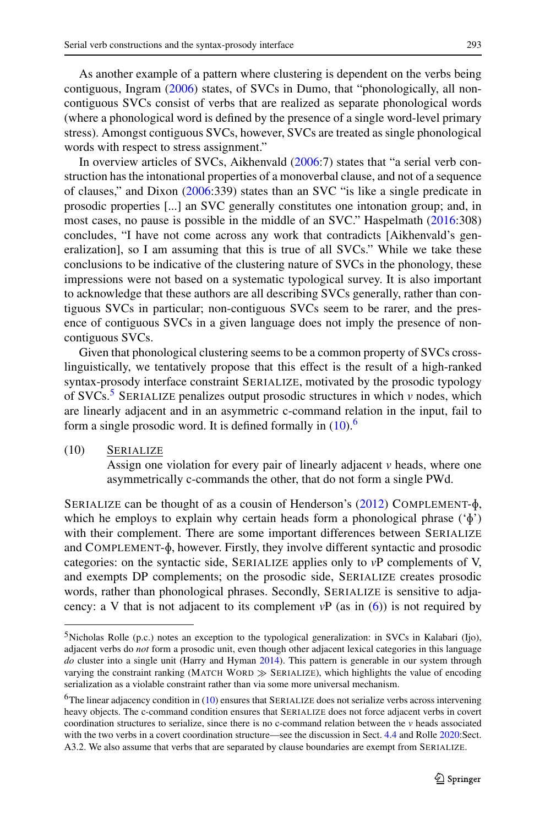As another example of a pattern where clustering is dependent on the verbs being contiguous, Ingram [\(2006](#page-20-16)) states, of SVCs in Dumo, that "phonologically, all noncontiguous SVCs consist of verbs that are realized as separate phonological words (where a phonological word is defined by the presence of a single word-level primary stress). Amongst contiguous SVCs, however, SVCs are treated as single phonological words with respect to stress assignment."

In overview articles of SVCs, Aikhenvald ([2006:](#page-19-12)7) states that "a serial verb construction has the intonational properties of a monoverbal clause, and not of a sequence of clauses," and Dixon [\(2006](#page-19-13):339) states than an SVC "is like a single predicate in prosodic properties [...] an SVC generally constitutes one intonation group; and, in most cases, no pause is possible in the middle of an SVC." Haspelmath ([2016:](#page-20-17)308) concludes, "I have not come across any work that contradicts [Aikhenvald's generalization], so I am assuming that this is true of all SVCs." While we take these conclusions to be indicative of the clustering nature of SVCs in the phonology, these impressions were not based on a systematic typological survey. It is also important to acknowledge that these authors are all describing SVCs generally, rather than contiguous SVCs in particular; non-contiguous SVCs seem to be rarer, and the presence of contiguous SVCs in a given language does not imply the presence of noncontiguous SVCs.

Given that phonological clustering seems to be a common property of SVCs crosslinguistically, we tentatively propose that this effect is the result of a high-ranked syntax-prosody interface constraint SERIALIZE, motivated by the prosodic typology of SVCs.<sup>[5](#page-8-0)</sup> SERIALIZE penalizes output prosodic structures in which  $\nu$  nodes, which are linearly adjacent and in an asymmetric c-command relation in the input, fail to form a single prosodic word. It is defined formally in  $(10)$  $(10)$ .<sup>[6](#page-8-2)</sup>

(10) SERIALIZE

<span id="page-8-1"></span>Assign one violation for every pair of linearly adjacent *v* heads, where one asymmetrically c-commands the other, that do not form a single PWd.

<span id="page-8-0"></span>SERIALIZE can be thought of as a cousin of Henderson's  $(2012)$  $(2012)$  COMPLEMENT- $\phi$ , which he employs to explain why certain heads form a phonological phrase  $({\phi})$ with their complement. There are some important differences between SERIALIZE and  $COMPLEMENT-\phi$ , however. Firstly, they involve different syntactic and prosodic categories: on the syntactic side, SERIALIZE applies only to *v*P complements of V, and exempts DP complements; on the prosodic side, SERIALIZE creates prosodic words, rather than phonological phrases. Secondly, SERIALIZE is sensitive to adjacency: a V that is not adjacent to its complement  $vP$  (as in  $(6)$  $(6)$ ) is not required by

<span id="page-8-2"></span><sup>5</sup>Nicholas Rolle (p.c.) notes an exception to the typological generalization: in SVCs in Kalabari (Ijo), adjacent verbs do *not* form a prosodic unit, even though other adjacent lexical categories in this language *do* cluster into a single unit (Harry and Hyman [2014](#page-20-18)). This pattern is generable in our system through varying the constraint ranking (MATCH WORD  $\gg$  SERIALIZE), which highlights the value of encoding serialization as a violable constraint rather than via some more universal mechanism.

 $6$ The linear adjacency condition in [\(10](#page-8-1)) ensures that SERIALIZE does not serialize verbs across intervening heavy objects. The c-command condition ensures that SERIALIZE does not force adjacent verbs in covert coordination structures to serialize, since there is no c-command relation between the *v* heads associated with the two verbs in a covert coordination structure—see the discussion in Sect. [4.4](#page-11-0) and Rolle [2020:](#page-20-0)Sect. A3.2. We also assume that verbs that are separated by clause boundaries are exempt from SERIALIZE.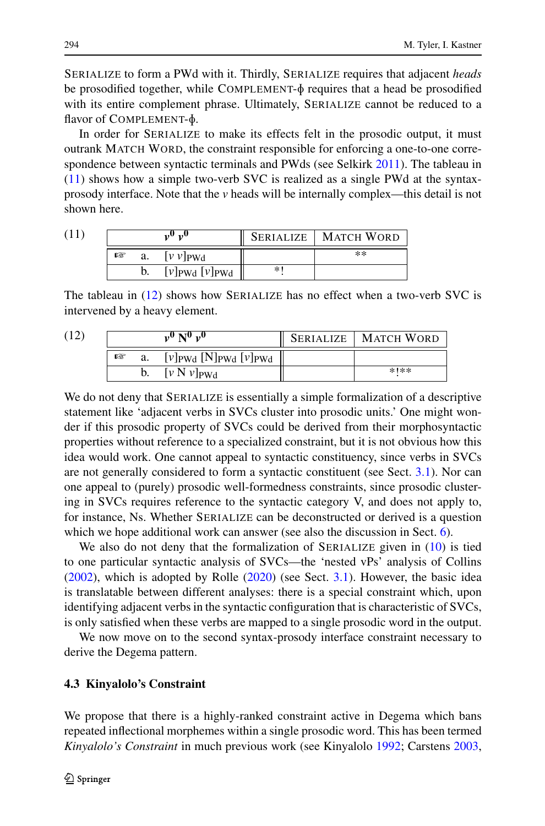SERIALIZE to form a PWd with it. Thirdly, SERIALIZE requires that adjacent *heads* be prosodified together, while  $COMPLEMENT-\phi$  requires that a head be prosodified with its entire complement phrase. Ultimately, SERIALIZE cannot be reduced to a flavor of COMPLEMENT- $\phi$ .

<span id="page-9-1"></span>In order for SERIALIZE to make its effects felt in the prosodic output, it must outrank MATCH WORD, the constraint responsible for enforcing a one-to-one correspondence between syntactic terminals and PWds (see Selkirk [2011](#page-21-1)). The tableau in [\(11](#page-9-1)) shows how a simple two-verb SVC is realized as a single PWd at the syntaxprosody interface. Note that the *v* heads will be internally complex—this detail is not shown here.

<span id="page-9-2"></span>

| (11 | ",∪ |    |                                           |     | <b>SERIALIZE   MATCH WORD</b> |
|-----|-----|----|-------------------------------------------|-----|-------------------------------|
|     | 隐   | a. | $[\nu \nu]$ PWd                           |     | $**$                          |
|     |     |    | $[\nu]_{\text{PWd}}$ $[\nu]_{\text{PWd}}$ | $*$ |                               |

The tableau in [\(12](#page-9-2)) shows how SERIALIZE has no effect when a two-verb SVC is intervened by a heavy element.

| (12) | $v^0 N^0 v^0$ |  | <b>SERIALIZE   MATCH WORD</b>           |        |
|------|---------------|--|-----------------------------------------|--------|
|      | 曙             |  | $[v]_{PWd}$ [N] $_{PWd}$ [ $v]_{PWd}$ ] |        |
|      |               |  | $[v N v]_{\text{PWA}}$                  | $*1**$ |

We do not deny that SERIALIZE is essentially a simple formalization of a descriptive statement like 'adjacent verbs in SVCs cluster into prosodic units.' One might wonder if this prosodic property of SVCs could be derived from their morphosyntactic properties without reference to a specialized constraint, but it is not obvious how this idea would work. One cannot appeal to syntactic constituency, since verbs in SVCs are not generally considered to form a syntactic constituent (see Sect. [3.1\)](#page-3-1). Nor can one appeal to (purely) prosodic well-formedness constraints, since prosodic clustering in SVCs requires reference to the syntactic category V, and does not apply to, for instance, Ns. Whether SERIALIZE can be deconstructed or derived is a question which we hope additional work can answer (see also the discussion in Sect. [6\)](#page-17-0).

<span id="page-9-0"></span>We also do not deny that the formalization of SERIALIZE given in [\(10](#page-8-1)) is tied to one particular syntactic analysis of SVCs—the 'nested vPs' analysis of Collins [\(2002](#page-19-3)), which is adopted by Rolle [\(2020](#page-20-0)) (see Sect. [3.1](#page-3-1)). However, the basic idea is translatable between different analyses: there is a special constraint which, upon identifying adjacent verbs in the syntactic configuration that is characteristic of SVCs, is only satisfied when these verbs are mapped to a single prosodic word in the output.

We now move on to the second syntax-prosody interface constraint necessary to derive the Degema pattern.

## **4.3 Kinyalolo's Constraint**

We propose that there is a highly-ranked constraint active in Degema which bans repeated inflectional morphemes within a single prosodic word. This has been termed *Kinyalolo's Constraint* in much previous work (see Kinyalolo [1992](#page-20-1); Carstens [2003](#page-19-0),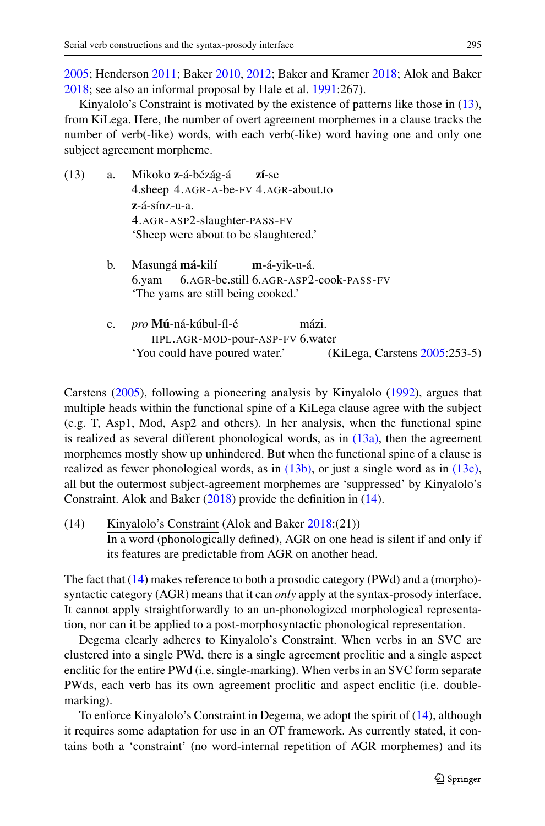<span id="page-10-1"></span><span id="page-10-0"></span>Kinyalolo's Constraint is motivated by the existence of patterns like those in ([13\)](#page-10-0), from KiLega. Here, the number of overt agreement morphemes in a clause tracks the number of verb(-like) words, with each verb(-like) word having one and only one subject agreement morpheme.

<span id="page-10-2"></span>

| (13) | a.          | Mikoko z-á-bézág-á zí-se<br>4.sheep 4.AGR-A-be-FV 4.AGR-about.to                                                 |
|------|-------------|------------------------------------------------------------------------------------------------------------------|
|      |             | $z$ -á-sínz-u-a.                                                                                                 |
|      |             | 4.AGR-ASP2-slaughter-PASS-FV<br>'Sheep were about to be slaughtered.'                                            |
|      | b.          | Masungá má-kilí m-á-yik-u-á.<br>6.yam 6.AGR-be.still 6.AGR-ASP2-cook-PASS-FV<br>The yams are still being cooked. |
|      | $c_{\cdot}$ | <i>pro</i> <b>Mú</b> -ná-kúbul-íl-é<br>mázi.<br>$IIPI$ $AGR-MOD-nour-A SP-FV$ 6 water                            |

<span id="page-10-4"></span><span id="page-10-3"></span>IIPL.AGR-MOD-pour-ASP-I 6.water 'You could have poured water.' (KiLega, Carstens [2005](#page-19-1):253-5)

Carstens [\(2005\)](#page-19-1), following a pioneering analysis by Kinyalolo ([1992\)](#page-20-1), argues that multiple heads within the functional spine of a KiLega clause agree with the subject (e.g. T, Asp1, Mod, Asp2 and others). In her analysis, when the functional spine is realized as several different phonological words, as in  $(13a)$ , then the agreement morphemes mostly show up unhindered. But when the functional spine of a clause is realized as fewer phonological words, as in [\(13b\)](#page-10-2), or just a single word as in [\(13c\)](#page-10-3), all but the outermost subject-agreement morphemes are 'suppressed' by Kinyalolo's Constraint. Alok and Baker [\(2018](#page-19-17)) provide the definition in ([14](#page-10-4)).

(14) Kinyalolo's Constraint (Alok and Baker [2018:](#page-19-17)(21)) In a word (phonologically defined), AGR on one head is silent if and only if its features are predictable from AGR on another head.

The fact that [\(14](#page-10-4)) makes reference to both a prosodic category (PWd) and a (morpho) syntactic category (AGR) means that it can *only* apply at the syntax-prosody interface. It cannot apply straightforwardly to an un-phonologized morphological representation, nor can it be applied to a post-morphosyntactic phonological representation.

Degema clearly adheres to Kinyalolo's Constraint. When verbs in an SVC are clustered into a single PWd, there is a single agreement proclitic and a single aspect enclitic for the entire PWd (i.e. single-marking). When verbs in an SVC form separate PWds, each verb has its own agreement proclitic and aspect enclitic (i.e. doublemarking).

To enforce Kinyalolo's Constraint in Degema, we adopt the spirit of ([14\)](#page-10-4), although it requires some adaptation for use in an OT framework. As currently stated, it contains both a 'constraint' (no word-internal repetition of AGR morphemes) and its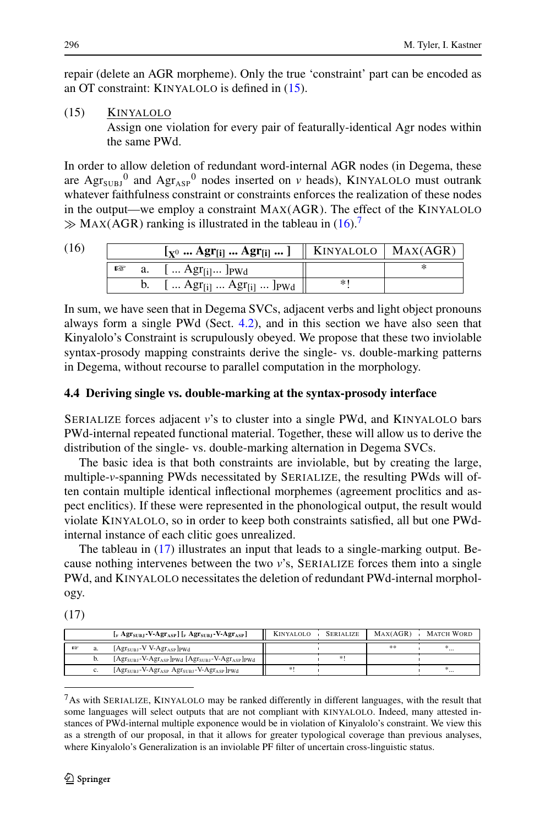<span id="page-11-1"></span>repair (delete an AGR morpheme). Only the true 'constraint' part can be encoded as an OT constraint: KINYALOLO is defined in [\(15](#page-11-1)).

## (15) KINYALOLO

Assign one violation for every pair of featurally-identical Agr nodes within the same PWd.

<span id="page-11-2"></span>In order to allow deletion of redundant word-internal AGR nodes (in Degema, these are  $\text{Agr}_{\text{SUBJ}}^0$  and  $\text{Agr}_{\text{ASP}}^0$  nodes inserted on *v* heads), KINYALOLO must outrank whatever faithfulness constraint or constraints enforces the realization of these nodes in the output—we employ a constraint MAX(AGR). The effect of the KINYALOLO  $\gg$  MAX(AGR) ranking is illustrated in the tableau in [\(16](#page-11-2)).<sup>7</sup>

| (16) |     | $\left[\mathbf{x}^0 \dots \mathbf{A}\mathbf{gr}_{[i]} \dots \mathbf{A}\mathbf{gr}_{[i]} \dots \right]$    KINYALOLO   MAX(AGR) |  |  |
|------|-----|--------------------------------------------------------------------------------------------------------------------------------|--|--|
|      | rs. | a. $[ Agr_{[i]}]_{PWd}$                                                                                                        |  |  |
|      |     | b. $[ Agr_{[i]}  Agr_{[i]} ]_{PWd}$                                                                                            |  |  |

<span id="page-11-0"></span>In sum, we have seen that in Degema SVCs, adjacent verbs and light object pronouns always form a single PWd (Sect. [4.2](#page-7-0)), and in this section we have also seen that Kinyalolo's Constraint is scrupulously obeyed. We propose that these two inviolable syntax-prosody mapping constraints derive the single- vs. double-marking patterns in Degema, without recourse to parallel computation in the morphology.

## **4.4 Deriving single vs. double-marking at the syntax-prosody interface**

SERIALIZE forces adjacent *v*'s to cluster into a single PWd, and KINYALOLO bars PWd-internal repeated functional material. Together, these will allow us to derive the distribution of the single- vs. double-marking alternation in Degema SVCs.

<span id="page-11-4"></span>The basic idea is that both constraints are inviolable, but by creating the large, multiple-*v*-spanning PWds necessitated by SERIALIZE, the resulting PWds will often contain multiple identical inflectional morphemes (agreement proclitics and aspect enclitics). If these were represented in the phonological output, the result would violate KINYALOLO, so in order to keep both constraints satisfied, all but one PWdinternal instance of each clitic goes unrealized.

The tableau in ([17\)](#page-11-4) illustrates an input that leads to a single-marking output. Because nothing intervenes between the two *v*'s, SERIALIZE forces them into a single PWd, and KINYALOLO necessitates the deletion of redundant PWd-internal morphology.

<span id="page-11-3"></span>(17)

|    |    | $\left[\right._{v}$ Agr <sub>subJ</sub> -V-Agr <sub>ASP</sub> ] $\left[\right._{v}$ Agr <sub>subJ</sub> -V-Agr <sub>ASP</sub> ] | <b>KINYALOLO</b> | SERIALIZE | MAX(AGR) | MATCH WORD |
|----|----|---------------------------------------------------------------------------------------------------------------------------------|------------------|-----------|----------|------------|
| E® | a. | $[AgrslIR - V V-AgrASP]_{PWd}$                                                                                                  |                  |           | **       |            |
|    | D. | [Agr <sub>subJ</sub> -V-Agr <sub>ASP</sub> ] <sub>PWd</sub> [Agr <sub>subJ</sub> -V-Agr <sub>ASP</sub> ] <sub>PWd</sub>         |                  | *1        |          |            |
|    | U. | [Agr <sub>subJ</sub> -V-Agr <sub>asp</sub> Agr <sub>subJ</sub> -V-Agr <sub>asp</sub> ] <sub>PWd</sub>                           |                  |           |          |            |

 $<sup>7</sup>$ As with SERIALIZE, KINYALOLO may be ranked differently in different languages, with the result that</sup> some languages will select outputs that are not compliant with KINYALOLO. Indeed, many attested instances of PWd-internal multiple exponence would be in violation of Kinyalolo's constraint. We view this as a strength of our proposal, in that it allows for greater typological coverage than previous analyses, where Kinyalolo's Generalization is an inviolable PF filter of uncertain cross-linguistic status.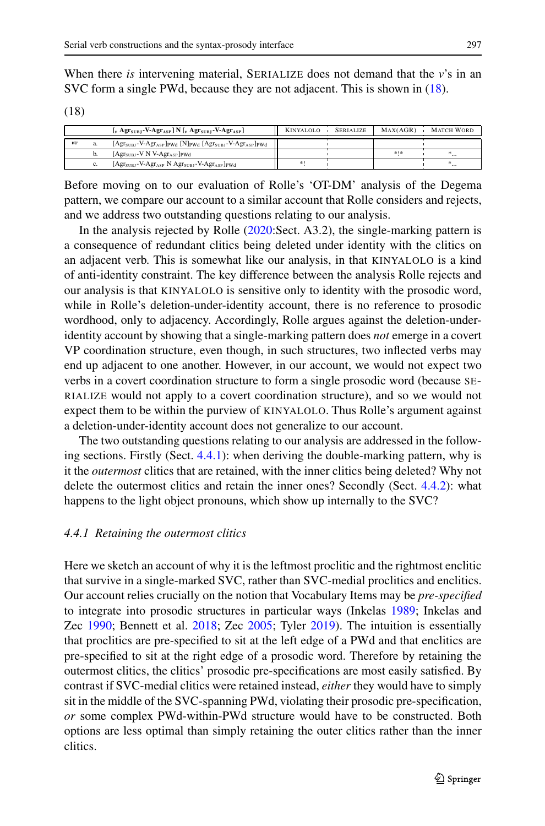<span id="page-12-0"></span>When there *is* intervening material, SERIALIZE does not demand that the *v*'s in an SVC form a single PWd, because they are not adjacent. This is shown in [\(18](#page-12-0)).

(18)

|     | $\left[\right]_V$ Agr <sub>subJ</sub> -V-Agr <sub>asp</sub> ] N $\left[\right]_V$ Agr <sub>subJ</sub> -V-Agr <sub>asp</sub> ]              | <b>KINYALOLO</b> | SERIALIZE | MAX(AGR) | <b>MATCH WORD</b> |
|-----|--------------------------------------------------------------------------------------------------------------------------------------------|------------------|-----------|----------|-------------------|
| 651 | [Agr <sub>subJ</sub> -V-Agr <sub>ASP</sub> ] <sub>PWd</sub> [N] <sub>PWd</sub> [Agr <sub>subJ</sub> -V-Agr <sub>ASP</sub> ] <sub>PWd</sub> |                  |           |          |                   |
|     | $[AgrslIR1 - V N V-AgrASP]_{PWA}$                                                                                                          |                  |           | 米卡米      | $\cdots$          |
|     | [Agr <sub>subJ</sub> -V-Agr <sub>ASP</sub> N Agr <sub>subJ</sub> -V-Agr <sub>ASP</sub> ] <sub>PWd</sub>                                    | *                |           |          | $\cdots$          |

Before moving on to our evaluation of Rolle's 'OT-DM' analysis of the Degema pattern, we compare our account to a similar account that Rolle considers and rejects, and we address two outstanding questions relating to our analysis.

In the analysis rejected by Rolle ([2020:](#page-20-0)Sect. A3.2), the single-marking pattern is a consequence of redundant clitics being deleted under identity with the clitics on an adjacent verb. This is somewhat like our analysis, in that KINYALOLO is a kind of anti-identity constraint. The key difference between the analysis Rolle rejects and our analysis is that KINYALOLO is sensitive only to identity with the prosodic word, while in Rolle's deletion-under-identity account, there is no reference to prosodic wordhood, only to adjacency. Accordingly, Rolle argues against the deletion-underidentity account by showing that a single-marking pattern does *not* emerge in a covert VP coordination structure, even though, in such structures, two inflected verbs may end up adjacent to one another. However, in our account, we would not expect two verbs in a covert coordination structure to form a single prosodic word (because SE-RIALIZE would not apply to a covert coordination structure), and so we would not expect them to be within the purview of KINYALOLO. Thus Rolle's argument against a deletion-under-identity account does not generalize to our account.

<span id="page-12-1"></span>The two outstanding questions relating to our analysis are addressed in the following sections. Firstly (Sect. [4.4.1](#page-12-1)): when deriving the double-marking pattern, why is it the *outermost* clitics that are retained, with the inner clitics being deleted? Why not delete the outermost clitics and retain the inner ones? Secondly (Sect. [4.4.2\)](#page-13-0): what happens to the light object pronouns, which show up internally to the SVC?

#### *4.4.1 Retaining the outermost clitics*

Here we sketch an account of why it is the leftmost proclitic and the rightmost enclitic that survive in a single-marked SVC, rather than SVC-medial proclitics and enclitics. Our account relies crucially on the notion that Vocabulary Items may be *pre-specified* to integrate into prosodic structures in particular ways (Inkelas [1989](#page-20-21); Inkelas and Zec [1990](#page-20-22); Bennett et al. [2018](#page-19-9); Zec [2005;](#page-21-8) Tyler [2019](#page-21-6)). The intuition is essentially that proclitics are pre-specified to sit at the left edge of a PWd and that enclitics are pre-specified to sit at the right edge of a prosodic word. Therefore by retaining the outermost clitics, the clitics' prosodic pre-specifications are most easily satisfied. By contrast if SVC-medial clitics were retained instead, *either* they would have to simply sit in the middle of the SVC-spanning PWd, violating their prosodic pre-specification, *or* some complex PWd-within-PWd structure would have to be constructed. Both options are less optimal than simply retaining the outer clitics rather than the inner clitics.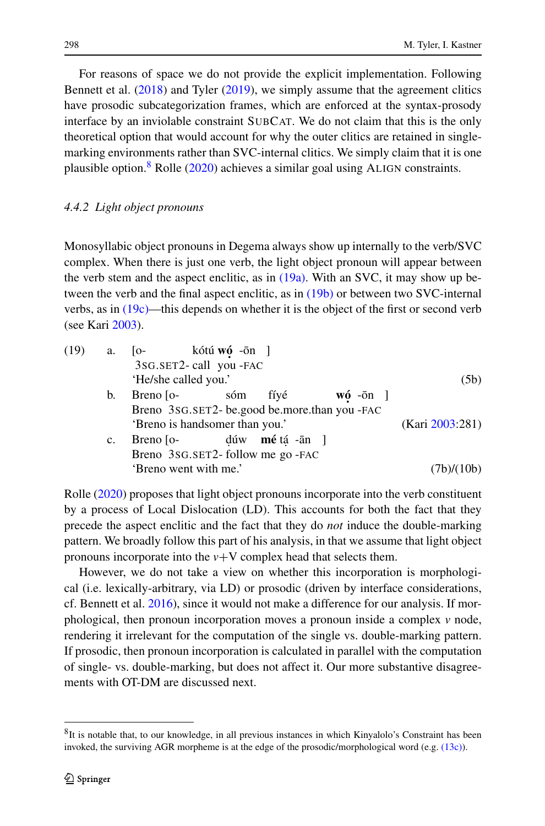<span id="page-13-0"></span>For reasons of space we do not provide the explicit implementation. Following Bennett et al. ([2018\)](#page-19-9) and Tyler [\(2019\)](#page-21-6), we simply assume that the agreement clitics have prosodic subcategorization frames, which are enforced at the syntax-prosody interface by an inviolable constraint SUBCAT. We do not claim that this is the only theoretical option that would account for why the outer clitics are retained in singlemarking environments rather than SVC-internal clitics. We simply claim that it is one plausible option.<sup>8</sup> Rolle ( $2020$ ) achieves a similar goal using ALIGN constraints.

## *4.4.2 Light object pronouns*

<span id="page-13-3"></span><span id="page-13-2"></span>Monosyllabic object pronouns in Degema always show up internally to the verb/SVC complex. When there is just one verb, the light object pronoun will appear between the verb stem and the aspect enclitic, as in  $(19a)$ . With an SVC, it may show up between the verb and the final aspect enclitic, as in [\(19b\)](#page-13-3) or between two SVC-internal verbs, as in [\(19c\)](#page-13-4)—this depends on whether it is the object of the first or second verb (see Kari [2003](#page-20-3)).

<span id="page-13-4"></span>

| (19) | <b>a.</b>   | [o- kótú wó -ōn ]                             |                 |                        |                          |            |
|------|-------------|-----------------------------------------------|-----------------|------------------------|--------------------------|------------|
|      |             | 3sG.SET2-call you -FAC                        |                 |                        |                          |            |
|      |             | 'He/she called you.'                          |                 |                        |                          | (5b)       |
|      | b.          | Breno $\lceil$ o-                             | sóm             | fíyé                   | $w6$ - $\overline{0}n$ ] |            |
|      |             | Breno 3sG.SET2- be.good be.more.than you -FAC |                 |                        |                          |            |
|      |             | 'Breno is handsomer than you.'                | (Kari 2003:281) |                        |                          |            |
|      | $c_{\cdot}$ | Breno $\sim$                                  |                 | dúw <b>mé</b> tá -ān ] |                          |            |
|      |             | Breno 3sG.SET2-follow me go -FAC              |                 |                        |                          |            |
|      |             | 'Breno went with me.'                         |                 |                        |                          | (7b)/(10b) |
|      |             |                                               |                 |                        |                          |            |

Rolle ([2020\)](#page-20-0) proposes that light object pronouns incorporate into the verb constituent by a process of Local Dislocation (LD). This accounts for both the fact that they precede the aspect enclitic and the fact that they do *not* induce the double-marking pattern. We broadly follow this part of his analysis, in that we assume that light object pronouns incorporate into the  $v + V$  complex head that selects them.

<span id="page-13-1"></span>However, we do not take a view on whether this incorporation is morphological (i.e. lexically-arbitrary, via LD) or prosodic (driven by interface considerations, cf. Bennett et al. [2016](#page-19-18)), since it would not make a difference for our analysis. If morphological, then pronoun incorporation moves a pronoun inside a complex *v* node, rendering it irrelevant for the computation of the single vs. double-marking pattern. If prosodic, then pronoun incorporation is calculated in parallel with the computation of single- vs. double-marking, but does not affect it. Our more substantive disagreements with OT-DM are discussed next.

<sup>&</sup>lt;sup>8</sup>It is notable that, to our knowledge, in all previous instances in which Kinyalolo's Constraint has been invoked, the surviving AGR morpheme is at the edge of the prosodic/morphological word (e.g. [\(13c\)\)](#page-10-3).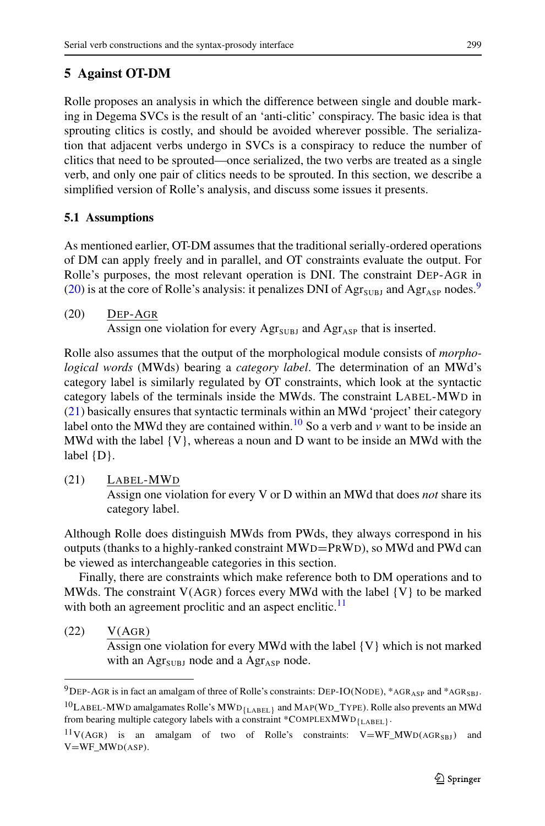# <span id="page-14-0"></span>**5 Against OT-DM**

Rolle proposes an analysis in which the difference between single and double marking in Degema SVCs is the result of an 'anti-clitic' conspiracy. The basic idea is that sprouting clitics is costly, and should be avoided wherever possible. The serialization that adjacent verbs undergo in SVCs is a conspiracy to reduce the number of clitics that need to be sprouted—once serialized, the two verbs are treated as a single verb, and only one pair of clitics needs to be sprouted. In this section, we describe a simplified version of Rolle's analysis, and discuss some issues it presents.

## <span id="page-14-1"></span>**5.1 Assumptions**

As mentioned earlier, OT-DM assumes that the traditional serially-ordered operations of DM can apply freely and in parallel, and OT constraints evaluate the output. For Rolle's purposes, the most relevant operation is DNI. The constraint DEP-AGR in [\(20](#page-14-1)) is at the core of Rolle's analysis: it penalizes DNI of  $\text{Agr}_{\text{SUBJ}}$  and  $\text{Agr}_{\text{ASP}}$  nodes.<sup>9</sup>

(20) DEP-AGR Assign one violation for every  $\text{Agr}_{\text{SUBJ}}$  and  $\text{Agr}_{\text{ASP}}$  that is inserted.

<span id="page-14-3"></span>Rolle also assumes that the output of the morphological module consists of *morphological words* (MWds) bearing a *category label*. The determination of an MWd's category label is similarly regulated by OT constraints, which look at the syntactic category labels of the terminals inside the MWds. The constraint LABEL-MWD in [\(21](#page-14-3)) basically ensures that syntactic terminals within an MWd 'project' their category label onto the MWd they are contained within.<sup>10</sup> So a verb and  $\hat{v}$  want to be inside an MWd with the label  $\{V\}$ , whereas a noun and D want to be inside an MWd with the label {D}.

(21) LABEL-MWD Assign one violation for every V or D within an MWd that does *not* share its category label.

Although Rolle does distinguish MWds from PWds, they always correspond in his outputs (thanks to a highly-ranked constraint MWD=PRWD), so MWd and PWd can be viewed as interchangeable categories in this section.

<span id="page-14-4"></span><span id="page-14-2"></span>Finally, there are constraints which make reference both to DM operations and to MWds. The constraint  $V(AGR)$  forces every MWd with the label  $\{V\}$  to be marked with both an agreement proclitic and an aspect enclitic.<sup>[11](#page-14-5)</sup>

## <span id="page-14-5"></span> $(22)$   $V(AGR)$

Assign one violation for every MWd with the label {V} which is not marked with an  $\text{Agr}_{\text{SUBJ}}$  node and a  $\text{Agr}_{\text{ASP}}$  node.

 $^{9}$ DEP-AGR is in fact an amalgam of three of Rolle's constraints: DEP-IO(NODE), \*AGR<sub>ASP</sub> and \*AGR<sub>SBJ</sub>.  $^{10}$ LABEL-MWD amalgamates Rolle's MWD<sub>{LABEL}</sub> and MAP(WD\_TYPE). Rolle also prevents an MWd from bearing multiple category labels with a constraint \*COMPLEXMWD<sub>{LABEL}</sub>.

 $11V(AGR)$  is an amalgam of two of Rolle's constraints:  $V=WF\_MWD(AGR_{SBJ})$  and V=WF\_MWD(ASP).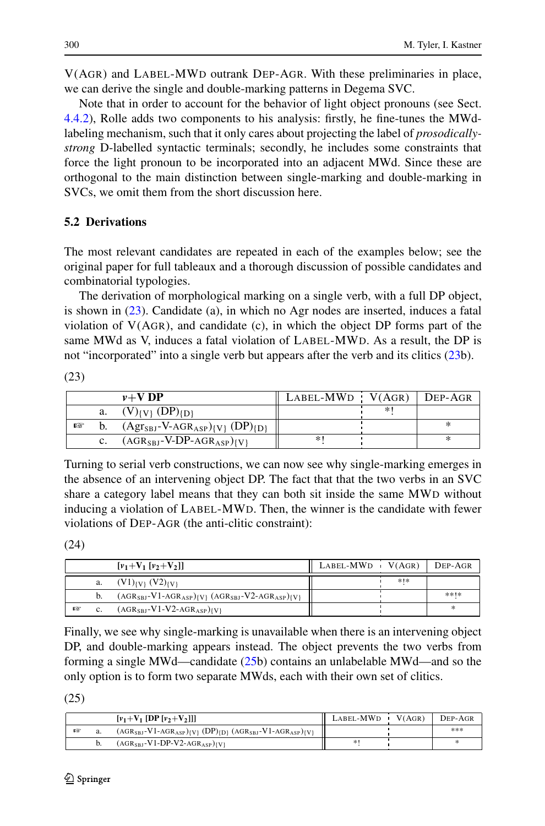V(AGR) and LABEL-MWD outrank DEP-AGR. With these preliminaries in place, we can derive the single and double-marking patterns in Degema SVC.

Note that in order to account for the behavior of light object pronouns (see Sect. [4.4.2\)](#page-13-0), Rolle adds two components to his analysis: firstly, he fine-tunes the MWdlabeling mechanism, such that it only cares about projecting the label of *prosodicallystrong* D-labelled syntactic terminals; secondly, he includes some constraints that force the light pronoun to be incorporated into an adjacent MWd. Since these are orthogonal to the main distinction between single-marking and double-marking in SVCs, we omit them from the short discussion here.

## **5.2 Derivations**

The most relevant candidates are repeated in each of the examples below; see the original paper for full tableaux and a thorough discussion of possible candidates and combinatorial typologies.

<span id="page-15-0"></span>The derivation of morphological marking on a single verb, with a full DP object, is shown in [\(23](#page-15-0)). Candidate (a), in which no Agr nodes are inserted, induces a fatal violation of  $V(AGR)$ , and candidate (c), in which the object DP forms part of the same MWd as V, induces a fatal violation of LABEL-MWD. As a result, the DP is not "incorporated" into a single verb but appears after the verb and its clitics ([23b](#page-15-0)).

|   |    | $v+V$ DP                                                       | $LABEL-MWD$ $V(AGR)$ DEP-AGR |    |  |
|---|----|----------------------------------------------------------------|------------------------------|----|--|
|   | a. | $(V)_{\{V\}}$ (DP) $_{\{D\}}$                                  |                              | *1 |  |
| 啄 |    | $(Agr_{SBJ}$ -V-AGR <sub>ASP</sub> $ _{V}$ (DP) <sub>{D}</sub> |                              |    |  |
|   |    | $(AGR_{SBJ}$ -V-DP-AGR <sub>ASP</sub> $)_{\{V\}}$              | ∗                            |    |  |

Turning to serial verb constructions, we can now see why single-marking emerges in the absence of an intervening object DP. The fact that that the two verbs in an SVC share a category label means that they can both sit inside the same MWD without inducing a violation of LABEL-MWD. Then, the winner is the candidate with fewer violations of DEP-AGR (the anti-clitic constraint):

(24)

(23)

|   | $[v_1 + V_1[v_2 + V_2]]$                                            | $LABEL-MWD$ $V(AGR)$ |     | DEP-AGR |
|---|---------------------------------------------------------------------|----------------------|-----|---------|
|   | a. $(V1)_{\{V\}} (V2)_{\{V\}}$                                      |                      | *1* |         |
|   | $(AGR_{SBJ}-V1-AGR_{ASP})_{\{V\}} (AGR_{SBJ}-V2-AGR_{ASP})_{\{V\}}$ |                      |     | **!*    |
| 啄 | $(AGR_{SBI} - V1 - V2 - AGR_{ASP})$                                 |                      |     | ×.      |

<span id="page-15-1"></span>Finally, we see why single-marking is unavailable when there is an intervening object DP, and double-marking appears instead. The object prevents the two verbs from forming a single MWd—candidate [\(25](#page-15-1)b) contains an unlabelable MWd—and so the only option is to form two separate MWds, each with their own set of clitics.

(25)

|   |    | $[v_1 + V_1]$ [DP $[v_2 + V_2]$ ]                                                                         | LABEL-MWD | V(AGR) | DEP-AGR |
|---|----|-----------------------------------------------------------------------------------------------------------|-----------|--------|---------|
| 啄 | a. | $(AGR_{SBJ}-V1-AGR_{ASP})$ <sub>(V)</sub> $(DP)$ <sub>(D)</sub> $(AGR_{SBJ}-V1-AGR_{ASP})$ <sub>(V)</sub> |           |        | ***     |
|   | b. | $(AGR_{SBI} - V1 - DP-V2 - AGR_{ASP})$                                                                    | *1        |        |         |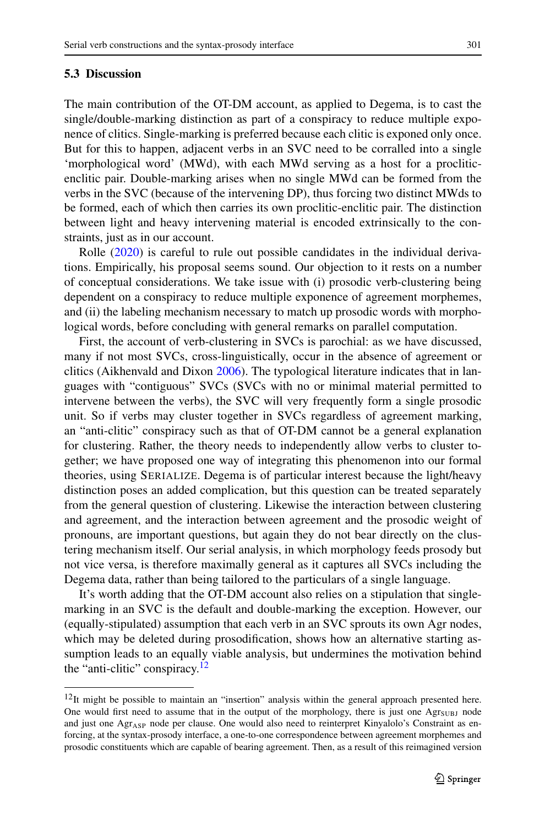#### **5.3 Discussion**

The main contribution of the OT-DM account, as applied to Degema, is to cast the single/double-marking distinction as part of a conspiracy to reduce multiple exponence of clitics. Single-marking is preferred because each clitic is exponed only once. But for this to happen, adjacent verbs in an SVC need to be corralled into a single 'morphological word' (MWd), with each MWd serving as a host for a procliticenclitic pair. Double-marking arises when no single MWd can be formed from the verbs in the SVC (because of the intervening DP), thus forcing two distinct MWds to be formed, each of which then carries its own proclitic-enclitic pair. The distinction between light and heavy intervening material is encoded extrinsically to the constraints, just as in our account.

Rolle [\(2020](#page-20-0)) is careful to rule out possible candidates in the individual derivations. Empirically, his proposal seems sound. Our objection to it rests on a number of conceptual considerations. We take issue with (i) prosodic verb-clustering being dependent on a conspiracy to reduce multiple exponence of agreement morphemes, and (ii) the labeling mechanism necessary to match up prosodic words with morphological words, before concluding with general remarks on parallel computation.

First, the account of verb-clustering in SVCs is parochial: as we have discussed, many if not most SVCs, cross-linguistically, occur in the absence of agreement or clitics (Aikhenvald and Dixon [2006](#page-19-19)). The typological literature indicates that in languages with "contiguous" SVCs (SVCs with no or minimal material permitted to intervene between the verbs), the SVC will very frequently form a single prosodic unit. So if verbs may cluster together in SVCs regardless of agreement marking, an "anti-clitic" conspiracy such as that of OT-DM cannot be a general explanation for clustering. Rather, the theory needs to independently allow verbs to cluster together; we have proposed one way of integrating this phenomenon into our formal theories, using SERIALIZE. Degema is of particular interest because the light/heavy distinction poses an added complication, but this question can be treated separately from the general question of clustering. Likewise the interaction between clustering and agreement, and the interaction between agreement and the prosodic weight of pronouns, are important questions, but again they do not bear directly on the clustering mechanism itself. Our serial analysis, in which morphology feeds prosody but not vice versa, is therefore maximally general as it captures all SVCs including the Degema data, rather than being tailored to the particulars of a single language.

<span id="page-16-0"></span>It's worth adding that the OT-DM account also relies on a stipulation that singlemarking in an SVC is the default and double-marking the exception. However, our (equally-stipulated) assumption that each verb in an SVC sprouts its own Agr nodes, which may be deleted during prosodification, shows how an alternative starting assumption leads to an equally viable analysis, but undermines the motivation behind the "anti-clitic" conspiracy. $12$ 

 $12$ It might be possible to maintain an "insertion" analysis within the general approach presented here. One would first need to assume that in the output of the morphology, there is just one  $\text{Agr}_{\text{SUBJ}}$  node and just one Agr<sub>ASP</sub> node per clause. One would also need to reinterpret Kinyalolo's Constraint as enforcing, at the syntax-prosody interface, a one-to-one correspondence between agreement morphemes and prosodic constituents which are capable of bearing agreement. Then, as a result of this reimagined version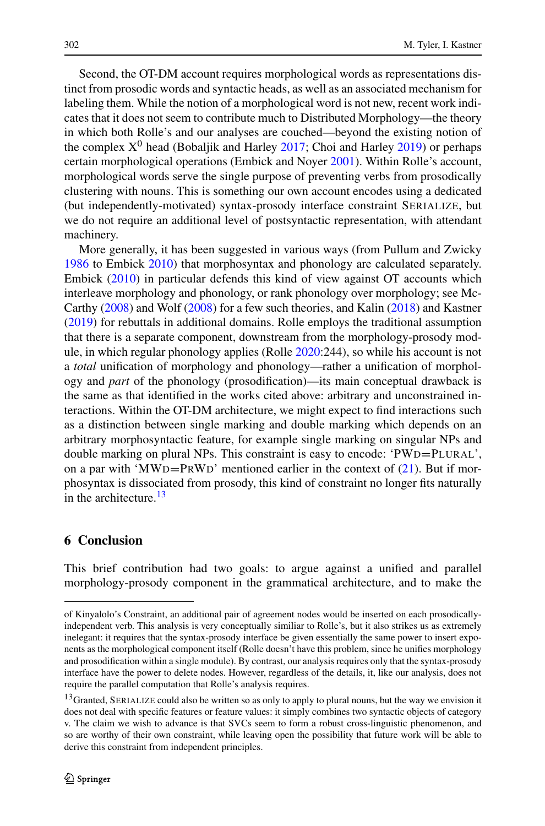Second, the OT-DM account requires morphological words as representations distinct from prosodic words and syntactic heads, as well as an associated mechanism for labeling them. While the notion of a morphological word is not new, recent work indicates that it does not seem to contribute much to Distributed Morphology—the theory in which both Rolle's and our analyses are couched—beyond the existing notion of the complex  $X^0$  head (Bobaljik and Harley [2017](#page-19-20); Choi and Harley [2019\)](#page-19-7) or perhaps certain morphological operations (Embick and Noyer [2001\)](#page-20-5). Within Rolle's account, morphological words serve the single purpose of preventing verbs from prosodically clustering with nouns. This is something our own account encodes using a dedicated (but independently-motivated) syntax-prosody interface constraint SERIALIZE, but we do not require an additional level of postsyntactic representation, with attendant machinery.

More generally, it has been suggested in various ways (from Pullum and Zwicky [1986](#page-20-23) to Embick [2010\)](#page-20-24) that morphosyntax and phonology are calculated separately. Embick ([2010\)](#page-20-24) in particular defends this kind of view against OT accounts which interleave morphology and phonology, or rank phonology over morphology; see Mc-Carthy [\(2008](#page-20-25)) and Wolf ([2008\)](#page-21-9) for a few such theories, and Kalin [\(2018](#page-20-26)) and Kastner [\(2019](#page-20-27)) for rebuttals in additional domains. Rolle employs the traditional assumption that there is a separate component, downstream from the morphology-prosody module, in which regular phonology applies (Rolle [2020](#page-20-0):244), so while his account is not a *total* unification of morphology and phonology—rather a unification of morphology and *part* of the phonology (prosodification)—its main conceptual drawback is the same as that identified in the works cited above: arbitrary and unconstrained interactions. Within the OT-DM architecture, we might expect to find interactions such as a distinction between single marking and double marking which depends on an arbitrary morphosyntactic feature, for example single marking on singular NPs and double marking on plural NPs. This constraint is easy to encode: 'PWD=PLURAL', on a par with 'MWD=PRWD' mentioned earlier in the context of  $(21)$  $(21)$ . But if morphosyntax is dissociated from prosody, this kind of constraint no longer fits naturally in the architecture.<sup>13</sup>

### <span id="page-17-0"></span>**6 Conclusion**

<span id="page-17-1"></span>This brief contribution had two goals: to argue against a unified and parallel morphology-prosody component in the grammatical architecture, and to make the

of Kinyalolo's Constraint, an additional pair of agreement nodes would be inserted on each prosodicallyindependent verb. This analysis is very conceptually similiar to Rolle's, but it also strikes us as extremely inelegant: it requires that the syntax-prosody interface be given essentially the same power to insert exponents as the morphological component itself (Rolle doesn't have this problem, since he unifies morphology and prosodification within a single module). By contrast, our analysis requires only that the syntax-prosody interface have the power to delete nodes. However, regardless of the details, it, like our analysis, does not require the parallel computation that Rolle's analysis requires.

<sup>&</sup>lt;sup>13</sup>Granted, SERIALIZE could also be written so as only to apply to plural nouns, but the way we envision it does not deal with specific features or feature values: it simply combines two syntactic objects of category v. The claim we wish to advance is that SVCs seem to form a robust cross-linguistic phenomenon, and so are worthy of their own constraint, while leaving open the possibility that future work will be able to derive this constraint from independent principles.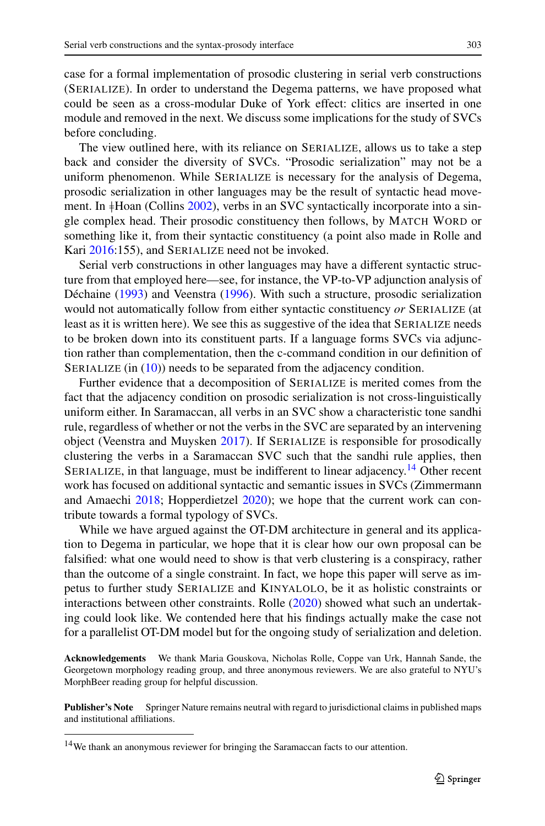case for a formal implementation of prosodic clustering in serial verb constructions (SERIALIZE). In order to understand the Degema patterns, we have proposed what could be seen as a cross-modular Duke of York effect: clitics are inserted in one module and removed in the next. We discuss some implications for the study of SVCs before concluding.

The view outlined here, with its reliance on SERIALIZE, allows us to take a step back and consider the diversity of SVCs. "Prosodic serialization" may not be a uniform phenomenon. While SERIALIZE is necessary for the analysis of Degema, prosodic serialization in other languages may be the result of syntactic head movement. In  $\frac{1}{10}$ Hoan (Collins [2002](#page-19-3)), verbs in an SVC syntactically incorporate into a single complex head. Their prosodic constituency then follows, by MATCH WORD or something like it, from their syntactic constituency (a point also made in Rolle and Kari [2016:](#page-20-4)155), and SERIALIZE need not be invoked.

Serial verb constructions in other languages may have a different syntactic structure from that employed here—see, for instance, the VP-to-VP adjunction analysis of Déchaine ([1993\)](#page-19-21) and Veenstra ([1996\)](#page-21-10). With such a structure, prosodic serialization would not automatically follow from either syntactic constituency *or* SERIALIZE (at least as it is written here). We see this as suggestive of the idea that SERIALIZE needs to be broken down into its constituent parts. If a language forms SVCs via adjunction rather than complementation, then the c-command condition in our definition of SERIALIZE (in  $(10)$ ) needs to be separated from the adjacency condition.

Further evidence that a decomposition of SERIALIZE is merited comes from the fact that the adjacency condition on prosodic serialization is not cross-linguistically uniform either. In Saramaccan, all verbs in an SVC show a characteristic tone sandhi rule, regardless of whether or not the verbs in the SVC are separated by an intervening object (Veenstra and Muysken [2017\)](#page-21-11). If SERIALIZE is responsible for prosodically clustering the verbs in a Saramaccan SVC such that the sandhi rule applies, then SERIALIZE, in that language, must be indifferent to linear adjacency.<sup>14</sup> Other recent work has focused on additional syntactic and semantic issues in SVCs (Zimmermann and Amaechi [2018](#page-21-12); Hopperdietzel [2020\)](#page-20-28); we hope that the current work can contribute towards a formal typology of SVCs.

While we have argued against the OT-DM architecture in general and its application to Degema in particular, we hope that it is clear how our own proposal can be falsified: what one would need to show is that verb clustering is a conspiracy, rather than the outcome of a single constraint. In fact, we hope this paper will serve as impetus to further study SERIALIZE and KINYALOLO, be it as holistic constraints or interactions between other constraints. Rolle [\(2020](#page-20-0)) showed what such an undertaking could look like. We contended here that his findings actually make the case not for a parallelist OT-DM model but for the ongoing study of serialization and deletion.

<span id="page-18-0"></span>**Acknowledgements** We thank Maria Gouskova, Nicholas Rolle, Coppe van Urk, Hannah Sande, the Georgetown morphology reading group, and three anonymous reviewers. We are also grateful to NYU's MorphBeer reading group for helpful discussion.

**Publisher's Note** Springer Nature remains neutral with regard to jurisdictional claims in published maps and institutional affiliations.

<sup>14</sup>We thank an anonymous reviewer for bringing the Saramaccan facts to our attention.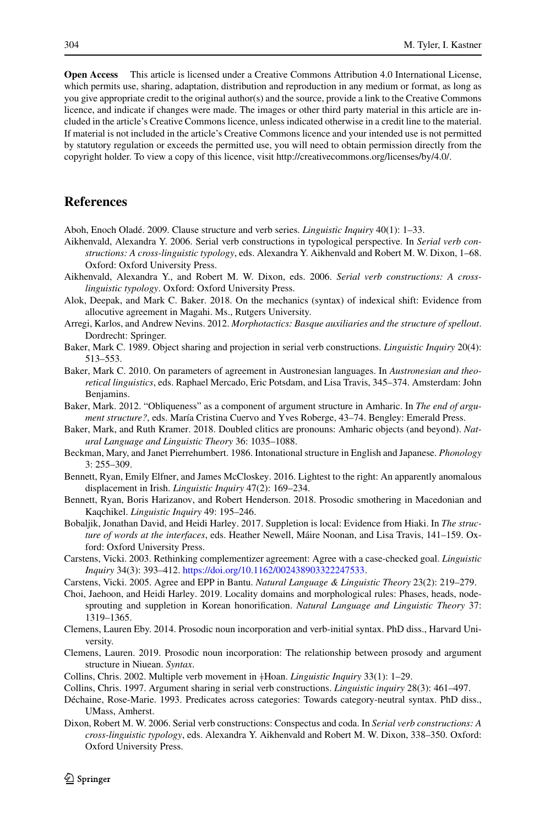<span id="page-19-12"></span><span id="page-19-5"></span>**Open Access** This article is licensed under a Creative Commons Attribution 4.0 International License, which permits use, sharing, adaptation, distribution and reproduction in any medium or format, as long as you give appropriate credit to the original author(s) and the source, provide a link to the Creative Commons licence, and indicate if changes were made. The images or other third party material in this article are included in the article's Creative Commons licence, unless indicated otherwise in a credit line to the material. If material is not included in the article's Creative Commons licence and your intended use is not permitted by statutory regulation or exceeds the permitted use, you will need to obtain permission directly from the copyright holder. To view a copy of this licence, visit http://creativecommons.org/licenses/by/4.0/.

## <span id="page-19-19"></span><span id="page-19-17"></span><span id="page-19-6"></span>**References**

<span id="page-19-4"></span>Aboh, Enoch Oladé. 2009. Clause structure and verb series. *Linguistic Inquiry* 40(1): 1–33.

- <span id="page-19-14"></span>Aikhenvald, Alexandra Y. 2006. Serial verb constructions in typological perspective. In *Serial verb constructions: A cross-linguistic typology*, eds. Alexandra Y. Aikhenvald and Robert M. W. Dixon, 1–68. Oxford: Oxford University Press.
- Aikhenvald, Alexandra Y., and Robert M. W. Dixon, eds. 2006. *Serial verb constructions: A crosslinguistic typology*. Oxford: Oxford University Press.
- <span id="page-19-16"></span><span id="page-19-15"></span>Alok, Deepak, and Mark C. Baker. 2018. On the mechanics (syntax) of indexical shift: Evidence from allocutive agreement in Magahi. Ms., Rutgers University.
- Arregi, Karlos, and Andrew Nevins. 2012. *Morphotactics: Basque auxiliaries and the structure of spellout*. Dordrecht: Springer.
- <span id="page-19-18"></span><span id="page-19-8"></span>Baker, Mark C. 1989. Object sharing and projection in serial verb constructions. *Linguistic Inquiry* 20(4): 513–553.
- <span id="page-19-9"></span>Baker, Mark C. 2010. On parameters of agreement in Austronesian languages. In *Austronesian and theoretical linguistics*, eds. Raphael Mercado, Eric Potsdam, and Lisa Travis, 345–374. Amsterdam: John Benjamins.
- <span id="page-19-20"></span>Baker, Mark. 2012. "Obliqueness" as a component of argument structure in Amharic. In *The end of argument structure?*, eds. María Cristina Cuervo and Yves Roberge, 43–74. Bengley: Emerald Press.
- Baker, Mark, and Ruth Kramer. 2018. Doubled clitics are pronouns: Amharic objects (and beyond). *Natural Language and Linguistic Theory* 36: 1035–1088.
- <span id="page-19-0"></span>Beckman, Mary, and Janet Pierrehumbert. 1986. Intonational structure in English and Japanese. *Phonology* 3: 255–309.
- <span id="page-19-7"></span><span id="page-19-1"></span>Bennett, Ryan, Emily Elfner, and James McCloskey. 2016. Lightest to the right: An apparently anomalous displacement in Irish. *Linguistic Inquiry* 47(2): 169–234.
- Bennett, Ryan, Boris Harizanov, and Robert Henderson. 2018. Prosodic smothering in Macedonian and Kaqchikel. *Linguistic Inquiry* 49: 195–246.
- <span id="page-19-10"></span>Bobaljik, Jonathan David, and Heidi Harley. 2017. Suppletion is local: Evidence from Hiaki. In *The structure of words at the interfaces*, eds. Heather Newell, Máire Noonan, and Lisa Travis, 141–159. Oxford: Oxford University Press.
- <span id="page-19-11"></span><span id="page-19-3"></span>Carstens, Vicki. 2003. Rethinking complementizer agreement: Agree with a case-checked goal. *Linguistic Inquiry* 34(3): 393–412. <https://doi.org/10.1162/002438903322247533>.
- <span id="page-19-21"></span><span id="page-19-2"></span>Carstens, Vicki. 2005. Agree and EPP in Bantu. *Natural Language & Linguistic Theory* 23(2): 219–279.
- <span id="page-19-13"></span>Choi, Jaehoon, and Heidi Harley. 2019. Locality domains and morphological rules: Phases, heads, nodesprouting and suppletion in Korean honorification. *Natural Language and Linguistic Theory* 37: 1319–1365.
- Clemens, Lauren Eby. 2014. Prosodic noun incorporation and verb-initial syntax. PhD diss., Harvard University.
- Clemens, Lauren. 2019. Prosodic noun incorporation: The relationship between prosody and argument structure in Niuean. *Syntax*.
- Collins, Chris. 2002. Multiple verb movement in }Hoan. *Linguistic Inquiry* 33(1): 1–29.
- Collins, Chris. 1997. Argument sharing in serial verb constructions. *Linguistic inquiry* 28(3): 461–497.
- Déchaine, Rose-Marie. 1993. Predicates across categories: Towards category-neutral syntax. PhD diss., UMass, Amherst.
- Dixon, Robert M. W. 2006. Serial verb constructions: Conspectus and coda. In *Serial verb constructions: A cross-linguistic typology*, eds. Alexandra Y. Aikhenvald and Robert M. W. Dixon, 338–350. Oxford: Oxford University Press.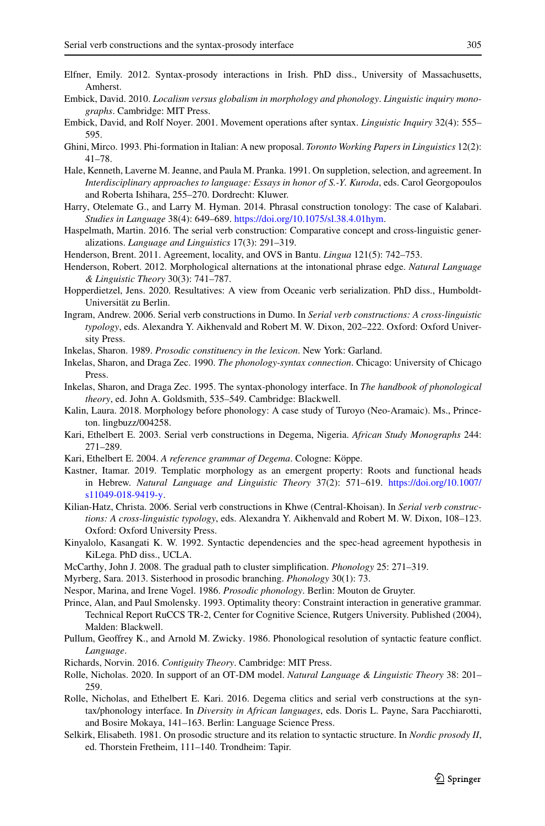- <span id="page-20-24"></span><span id="page-20-20"></span><span id="page-20-11"></span><span id="page-20-9"></span><span id="page-20-5"></span>Elfner, Emily. 2012. Syntax-prosody interactions in Irish. PhD diss., University of Massachusetts, Amherst.
- <span id="page-20-18"></span>Embick, David. 2010. *Localism versus globalism in morphology and phonology*. *Linguistic inquiry monographs*. Cambridge: MIT Press.
- <span id="page-20-17"></span>Embick, David, and Rolf Noyer. 2001. Movement operations after syntax. *Linguistic Inquiry* 32(4): 555– 595.
- <span id="page-20-19"></span><span id="page-20-13"></span>Ghini, Mirco. 1993. Phi-formation in Italian: A new proposal. *Toronto Working Papers in Linguistics* 12(2): 41–78.
- <span id="page-20-28"></span>Hale, Kenneth, Laverne M. Jeanne, and Paula M. Pranka. 1991. On suppletion, selection, and agreement. In *Interdisciplinary approaches to language: Essays in honor of S.-Y. Kuroda*, eds. Carol Georgopoulos and Roberta Ishihara, 255–270. Dordrecht: Kluwer.
- <span id="page-20-16"></span>Harry, Otelemate G., and Larry M. Hyman. 2014. Phrasal construction tonology: The case of Kalabari. *Studies in Language* 38(4): 649–689. [https://doi.org/10.1075/sl.38.4.01hym.](https://doi.org/10.1075/sl.38.4.01hym)
- <span id="page-20-21"></span>Haspelmath, Martin. 2016. The serial verb construction: Comparative concept and cross-linguistic generalizations. *Language and Linguistics* 17(3): 291–319.
- <span id="page-20-22"></span>Henderson, Brent. 2011. Agreement, locality, and OVS in Bantu. *Lingua* 121(5): 742–753.
- <span id="page-20-10"></span>Henderson, Robert. 2012. Morphological alternations at the intonational phrase edge. *Natural Language & Linguistic Theory* 30(3): 741–787.
- <span id="page-20-26"></span>Hopperdietzel, Jens. 2020. Resultatives: A view from Oceanic verb serialization. PhD diss., Humboldt-Universität zu Berlin.
- <span id="page-20-3"></span>Ingram, Andrew. 2006. Serial verb constructions in Dumo. In *Serial verb constructions: A cross-linguistic typology*, eds. Alexandra Y. Aikhenvald and Robert M. W. Dixon, 202–222. Oxford: Oxford University Press.
- <span id="page-20-27"></span><span id="page-20-2"></span>Inkelas, Sharon. 1989. *Prosodic constituency in the lexicon*. New York: Garland.
- Inkelas, Sharon, and Draga Zec. 1990. *The phonology-syntax connection*. Chicago: University of Chicago Press.
- <span id="page-20-15"></span>Inkelas, Sharon, and Draga Zec. 1995. The syntax-phonology interface. In *The handbook of phonological theory*, ed. John A. Goldsmith, 535–549. Cambridge: Blackwell.
- Kalin, Laura. 2018. Morphology before phonology: A case study of Turoyo (Neo-Aramaic). Ms., Princeton. lingbuzz/004258.
- <span id="page-20-1"></span>Kari, Ethelbert E. 2003. Serial verb constructions in Degema, Nigeria. *African Study Monographs* 244: 271–289.
- <span id="page-20-25"></span><span id="page-20-12"></span>Kari, Ethelbert E. 2004. *A reference grammar of Degema*. Cologne: Köppe.
- <span id="page-20-7"></span>Kastner, Itamar. 2019. Templatic morphology as an emergent property: Roots and functional heads in Hebrew. *Natural Language and Linguistic Theory* 37(2): 571–619. [https://doi.org/10.1007/](https://doi.org/10.1007/s11049-018-9419-y) [s11049-018-9419-y.](https://doi.org/10.1007/s11049-018-9419-y)
- <span id="page-20-8"></span>Kilian-Hatz, Christa. 2006. Serial verb constructions in Khwe (Central-Khoisan). In *Serial verb constructions: A cross-linguistic typology*, eds. Alexandra Y. Aikhenvald and Robert M. W. Dixon, 108–123. Oxford: Oxford University Press.
- <span id="page-20-23"></span><span id="page-20-14"></span>Kinyalolo, Kasangati K. W. 1992. Syntactic dependencies and the spec-head agreement hypothesis in KiLega. PhD diss., UCLA.
- <span id="page-20-0"></span>McCarthy, John J. 2008. The gradual path to cluster simplification. *Phonology* 25: 271–319.
- Myrberg, Sara. 2013. Sisterhood in prosodic branching. *Phonology* 30(1): 73.
- <span id="page-20-4"></span>Nespor, Marina, and Irene Vogel. 1986. *Prosodic phonology*. Berlin: Mouton de Gruyter.
- Prince, Alan, and Paul Smolensky. 1993. Optimality theory: Constraint interaction in generative grammar. Technical Report RuCCS TR-2, Center for Cognitive Science, Rutgers University. Published (2004), Malden: Blackwell.
- <span id="page-20-6"></span>Pullum, Geoffrey K., and Arnold M. Zwicky. 1986. Phonological resolution of syntactic feature conflict. *Language*.
- Richards, Norvin. 2016. *Contiguity Theory*. Cambridge: MIT Press.
- Rolle, Nicholas. 2020. In support of an OT-DM model. *Natural Language & Linguistic Theory* 38: 201– 259.
- Rolle, Nicholas, and Ethelbert E. Kari. 2016. Degema clitics and serial verb constructions at the syntax/phonology interface. In *Diversity in African languages*, eds. Doris L. Payne, Sara Pacchiarotti, and Bosire Mokaya, 141–163. Berlin: Language Science Press.
- Selkirk, Elisabeth. 1981. On prosodic structure and its relation to syntactic structure. In *Nordic prosody II*, ed. Thorstein Fretheim, 111–140. Trondheim: Tapir.